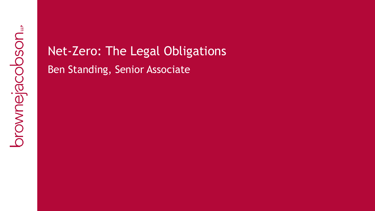# Net-Zero: The Legal Obligations Ben Standing, Senior Associate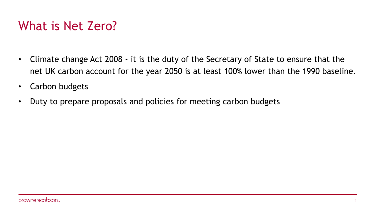# What is Net Zero?

- Climate change Act 2008 it is the duty of the Secretary of State to ensure that the net UK carbon account for the year 2050 is at least 100% lower than the 1990 baseline.
- Carbon budgets
- Duty to prepare proposals and policies for meeting carbon budgets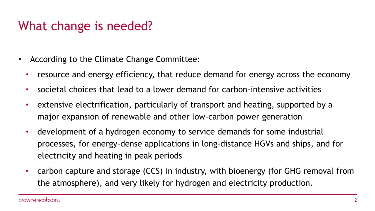## What change is needed?

- According to the Climate Change Committee:
	- resource and energy efficiency, that reduce demand for energy across the economy
	- societal choices that lead to a lower demand for carbon-intensive activities
	- extensive electrification, particularly of transport and heating, supported by a major expansion of renewable and other low-carbon power generation
	- development of a hydrogen economy to service demands for some industrial processes, for energy-dense applications in long-distance HGVs and ships, and for electricity and heating in peak periods
	- carbon capture and storage (CCS) in industry, with bioenergy (for GHG removal from the atmosphere), and very likely for hydrogen and electricity production.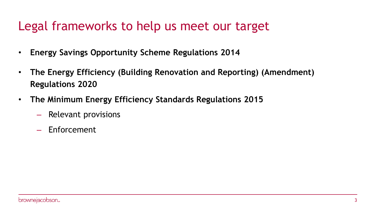## Legal frameworks to help us meet our target

- **Energy Savings Opportunity Scheme Regulations 2014**
- **The Energy Efficiency (Building Renovation and Reporting) (Amendment) Regulations 2020**
- **The Minimum Energy Efficiency Standards Regulations 2015**
	- Relevant provisions
	- Enforcement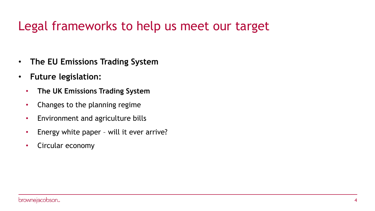# Legal frameworks to help us meet our target

- **The EU Emissions Trading System**
- **Future legislation:**
	- **The UK Emissions Trading System**
	- Changes to the planning regime
	- Environment and agriculture bills
	- Energy white paper will it ever arrive?
	- Circular economy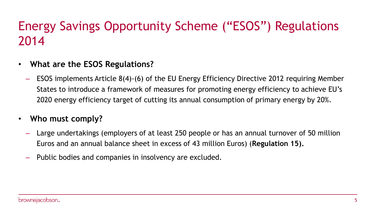# Energy Savings Opportunity Scheme ("ESOS") Regulations 2014

- **What are the ESOS Regulations?**
	- ESOS implements Article 8(4)-(6) of the EU Energy Efficiency Directive 2012 requiring Member States to introduce a framework of measures for promoting energy efficiency to achieve EU's 2020 energy efficiency target of cutting its annual consumption of primary energy by 20%.
- **Who must comply?**
	- Large undertakings (employers of at least 250 people or has an annual turnover of 50 million Euros and an annual balance sheet in excess of 43 million Euros) (**Regulation 15).**
	- Public bodies and companies in insolvency are excluded.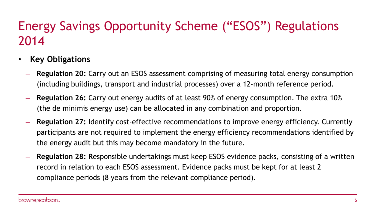# Energy Savings Opportunity Scheme ("ESOS") Regulations 2014

- **Key Obligations**
	- **Regulation 20:** Carry out an ESOS assessment comprising of measuring total energy consumption (including buildings, transport and industrial processes) over a 12-month reference period.
	- **Regulation 26:** Carry out energy audits of at least 90% of energy consumption. The extra 10% (the de minimis energy use) can be allocated in any combination and proportion.
	- **Regulation 27:** Identify cost-effective recommendations to improve energy efficiency. Currently participants are not required to implement the energy efficiency recommendations identified by the energy audit but this may become mandatory in the future.
	- **Regulation 28: R**esponsible undertakings must keep ESOS evidence packs, consisting of a written record in relation to each ESOS assessment. Evidence packs must be kept for at least 2 compliance periods (8 years from the relevant compliance period).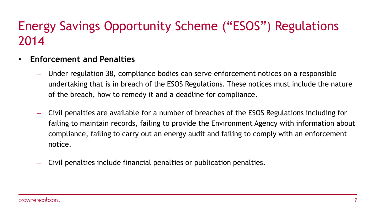# Energy Savings Opportunity Scheme ("ESOS") Regulations 2014

- **Enforcement and Penalties**
	- Under regulation 38, compliance bodies can serve enforcement notices on a responsible undertaking that is in breach of the ESOS Regulations. These notices must include the nature of the breach, how to remedy it and a deadline for compliance.
	- Civil penalties are available for a number of breaches of the ESOS Regulations including for failing to maintain records, failing to provide the Environment Agency with information about compliance, failing to carry out an energy audit and failing to comply with an enforcement notice.
	- Civil penalties include financial penalties or publication penalties.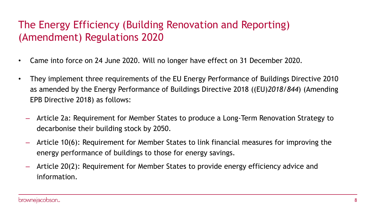### The Energy Efficiency (Building Renovation and Reporting) (Amendment) Regulations 2020

- Came into force on 24 June 2020. Will no longer have effect on 31 December 2020.
- They implement three requirements of the EU Energy Performance of Buildings Directive 2010 as amended by the Energy Performance of Buildings Directive 2018 ((EU)*2018/844*) (Amending EPB Directive 2018) as follows:
	- Article 2a: Requirement for Member States to produce a Long-Term Renovation Strategy to decarbonise their building stock by 2050.
	- Article 10(6): Requirement for Member States to link financial measures for improving the energy performance of buildings to those for energy savings.
	- Article 20(2): Requirement for Member States to provide energy efficiency advice and information.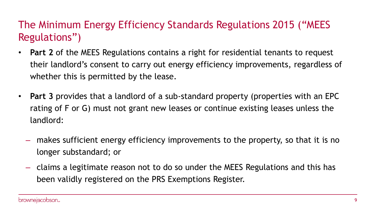### The Minimum Energy Efficiency Standards Regulations 2015 ("MEES Regulations")

- **Part 2** of the MEES Regulations contains a right for residential tenants to request their landlord's consent to carry out energy efficiency improvements, regardless of whether this is permitted by the lease.
- **Part 3** provides that a landlord of a sub-standard property (properties with an EPC rating of F or G) must not grant new leases or continue existing leases unless the landlord:
	- makes sufficient energy efficiency improvements to the property, so that it is no longer substandard; or
	- claims a legitimate reason not to do so under the MEES Regulations and this has been validly registered on the PRS Exemptions Register.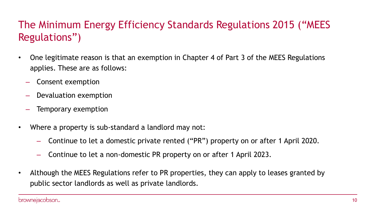### The Minimum Energy Efficiency Standards Regulations 2015 ("MEES Regulations")

- One legitimate reason is that an exemption in Chapter 4 of Part 3 of the MEES Regulations applies. These are as follows:
	- Consent exemption
	- Devaluation exemption
	- Temporary exemption
- Where a property is sub-standard a landlord may not:
	- Continue to let a domestic private rented ("PR") property on or after 1 April 2020.
	- Continue to let a non-domestic PR property on or after 1 April 2023.
- Although the MEES Regulations refer to PR properties, they can apply to leases granted by public sector landlords as well as private landlords.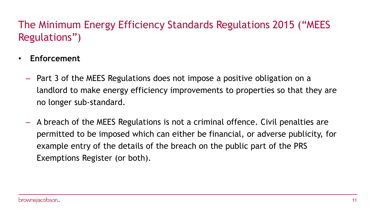## The Minimum Energy Efficiency Standards Regulations 2015 ("MEES Regulations")

- **Enforcement** 
	- Part 3 of the MEES Regulations does not impose a positive obligation on a landlord to make energy efficiency improvements to properties so that they are no longer sub-standard.
	- A breach of the MEES Regulations is not a criminal offence. Civil penalties are permitted to be imposed which can either be financial, or adverse publicity, for example entry of the details of the breach on the public part of the PRS Exemptions Register (or both).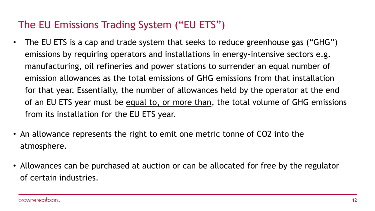### The EU Emissions Trading System ("EU ETS")

- The EU ETS is a cap and trade system that seeks to reduce greenhouse gas ("GHG") emissions by requiring operators and installations in energy-intensive sectors e.g. manufacturing, oil refineries and power stations to surrender an equal number of emission allowances as the total emissions of GHG emissions from that installation for that year. Essentially, the number of allowances held by the operator at the end of an EU ETS year must be equal to, or more than, the total volume of GHG emissions from its installation for the EU ETS year.
- An allowance represents the right to emit one metric tonne of CO2 into the atmosphere.
- Allowances can be purchased at auction or can be allocated for free by the regulator of certain industries.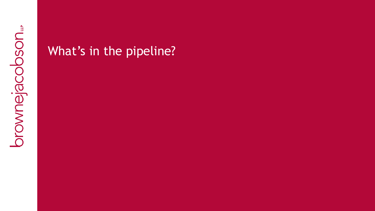## What's in the pipeline?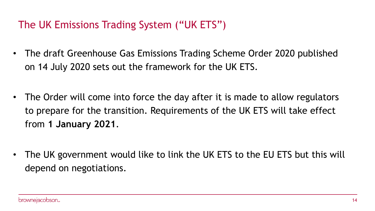## The UK Emissions Trading System ("UK ETS")

- The draft Greenhouse Gas Emissions Trading Scheme Order 2020 published on 14 July 2020 sets out the framework for the UK ETS.
- The Order will come into force the day after it is made to allow regulators to prepare for the transition. Requirements of the UK ETS will take effect from **1 January 2021**.
- The UK government would like to link the UK ETS to the EU ETS but this will depend on negotiations.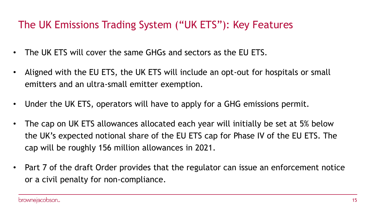### The UK Emissions Trading System ("UK ETS"): Key Features

- The UK ETS will cover the same GHGs and sectors as the EU ETS.
- Aligned with the EU ETS, the UK ETS will include an opt-out for hospitals or small emitters and an ultra-small emitter exemption.
- Under the UK ETS, operators will have to apply for a GHG emissions permit.
- The cap on UK ETS allowances allocated each year will initially be set at 5% below the UK's expected notional share of the EU ETS cap for Phase IV of the EU ETS. The cap will be roughly 156 million allowances in 2021.
- Part 7 of the draft Order provides that the regulator can issue an enforcement notice or a civil penalty for non-compliance.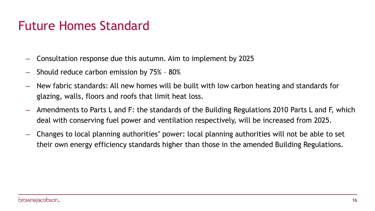## Future Homes Standard

- Consultation response due this autumn. Aim to implement by 2025
- Should reduce carbon emission by 75% 80%
- New fabric standards: All new homes will be built with low carbon heating and standards for glazing, walls, floors and roofs that limit heat loss.
- Amendments to Parts L and F: the standards of the Building Regulations 2010 Parts L and F, which deal with conserving fuel power and ventilation respectively, will be increased from 2025.
- Changes to local planning authorities' power: local planning authorities will not be able to set their own energy efficiency standards higher than those in the amended Building Regulations.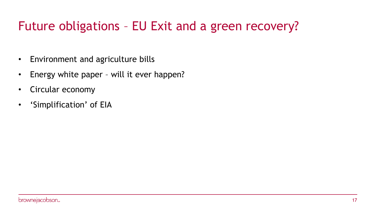# Future obligations – EU Exit and a green recovery?

- Environment and agriculture bills
- Energy white paper will it ever happen?
- Circular economy
- 'Simplification' of EIA